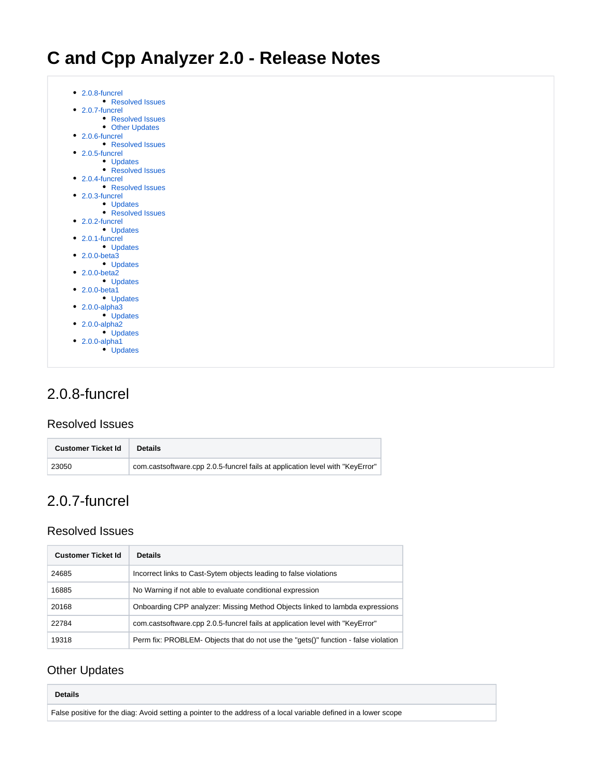

## <span id="page-0-0"></span>2.0.8-funcrel

#### <span id="page-0-1"></span>Resolved Issues

| <b>Customer Ticket Id</b> | <b>Details</b>                                                                |
|---------------------------|-------------------------------------------------------------------------------|
| 23050                     | com.castsoftware.cpp 2.0.5-funcrel fails at application level with "KeyError" |

## <span id="page-0-2"></span>2.0.7-funcrel

#### <span id="page-0-3"></span>Resolved Issues

| <b>Customer Ticket Id</b> | <b>Details</b>                                                                     |
|---------------------------|------------------------------------------------------------------------------------|
| 24685                     | Incorrect links to Cast-Sytem objects leading to false violations                  |
| 16885                     | No Warning if not able to evaluate conditional expression                          |
| 20168                     | Onboarding CPP analyzer: Missing Method Objects linked to lambda expressions       |
| 22784                     | com.castsoftware.cpp 2.0.5-funcrel fails at application level with "KeyError"      |
| 19318                     | Perm fix: PROBLEM- Objects that do not use the "gets()" function - false violation |

### <span id="page-0-4"></span>Other Updates

| <b>Details</b>                                                                                                   |
|------------------------------------------------------------------------------------------------------------------|
| False positive for the diag: Avoid setting a pointer to the address of a local variable defined in a lower scope |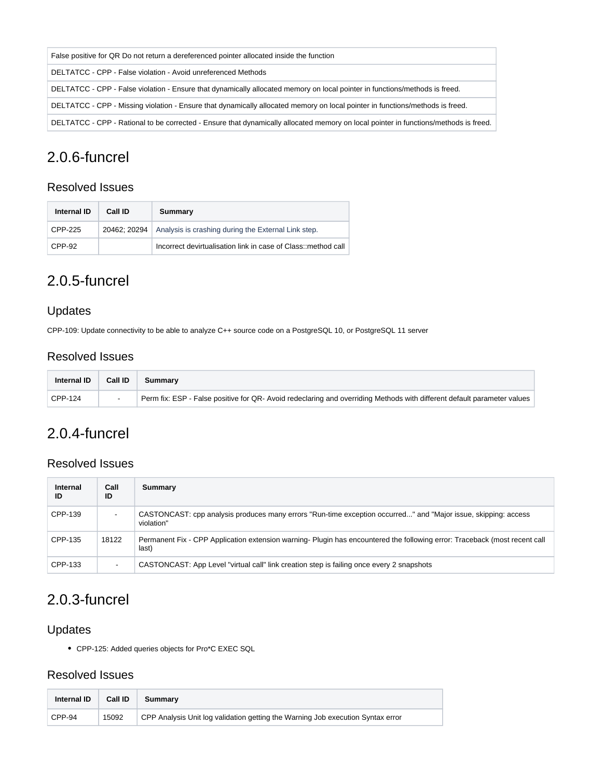| False positive for QR Do not return a dereferenced pointer allocated inside the function                                             |
|--------------------------------------------------------------------------------------------------------------------------------------|
| DELTATCC - CPP - False violation - Avoid unreferenced Methods                                                                        |
| DELTATCC - CPP - False violation - Ensure that dynamically allocated memory on local pointer in functions/methods is freed.          |
| DELTATCC - CPP - Missing violation - Ensure that dynamically allocated memory on local pointer in functions/methods is freed.        |
| DELTATCC - CPP - Rational to be corrected - Ensure that dynamically allocated memory on local pointer in functions/methods is freed. |

## <span id="page-1-0"></span>2.0.6-funcrel

#### <span id="page-1-1"></span>Resolved Issues

| Internal ID | Call ID | Summary                                                            |
|-------------|---------|--------------------------------------------------------------------|
| CPP-225     |         | 20462; 20294   Analysis is crashing during the External Link step. |
| CPP-92      |         | Incorrect devirtualisation link in case of Class:: method call     |

# <span id="page-1-2"></span>2.0.5-funcrel

### <span id="page-1-3"></span>Updates

CPP-109: Update connectivity to be able to analyze C++ source code on a PostgreSQL 10, or PostgreSQL 11 server

### <span id="page-1-4"></span>Resolved Issues

| Internal ID | Call ID | Summarv                                                                                                                 |
|-------------|---------|-------------------------------------------------------------------------------------------------------------------------|
| CPP-124     |         | Perm fix: ESP - False positive for QR- Avoid redeclaring and overriding Methods with different default parameter values |

## <span id="page-1-5"></span>2.0.4-funcrel

#### <span id="page-1-6"></span>Resolved Issues

| Internal<br>ID | Call<br>ID               | Summary                                                                                                                             |
|----------------|--------------------------|-------------------------------------------------------------------------------------------------------------------------------------|
| CPP-139        |                          | CASTONCAST: cpp analysis produces many errors "Run-time exception occurred" and "Major issue, skipping: access<br>violation"        |
| CPP-135        | 18122                    | Permanent Fix - CPP Application extension warning- Plugin has encountered the following error: Traceback (most recent call<br>last) |
| CPP-133        | $\overline{\phantom{0}}$ | CASTONCAST: App Level "virtual call" link creation step is failing once every 2 snapshots                                           |

## <span id="page-1-7"></span>2.0.3-funcrel

#### <span id="page-1-8"></span>Updates

CPP-125: Added queries objects for Pro\*C EXEC SQL

#### <span id="page-1-9"></span>Resolved Issues

| <b>Internal ID</b> | Call ID | Summary                                                                         |  |
|--------------------|---------|---------------------------------------------------------------------------------|--|
| CPP-94             | 15092   | CPP Analysis Unit log validation getting the Warning Job execution Syntax error |  |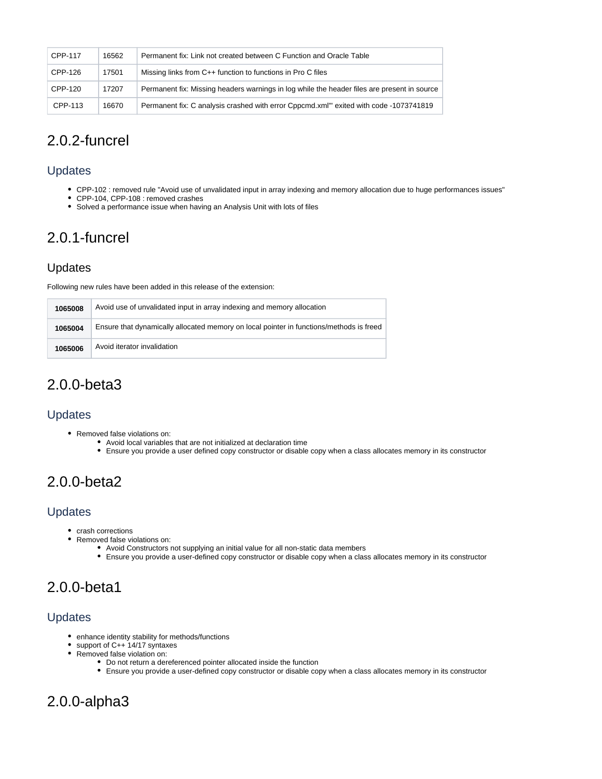| CPP-117 | 16562 | Permanent fix: Link not created between C Function and Oracle Table                         |
|---------|-------|---------------------------------------------------------------------------------------------|
| CPP-126 | 17501 | Missing links from C++ function to functions in Pro C files                                 |
| CPP-120 | 17207 | Permanent fix: Missing headers warnings in log while the header files are present in source |
| CPP-113 | 16670 | Permanent fix: C analysis crashed with error Cppcmd.xml"' exited with code -1073741819      |

### <span id="page-2-0"></span>2.0.2-funcrel

#### <span id="page-2-1"></span>Updates

- CPP-102 : removed rule "Avoid use of unvalidated input in array indexing and memory allocation due to huge performances issues"
- CPP-104, CPP-108 : removed crashes
- Solved a performance issue when having an Analysis Unit with lots of files

## <span id="page-2-2"></span>2.0.1-funcrel

#### <span id="page-2-3"></span>Updates

Following new rules have been added in this release of the extension:

| 1065008 | Avoid use of unvalidated input in array indexing and memory allocation                  |
|---------|-----------------------------------------------------------------------------------------|
| 1065004 | Ensure that dynamically allocated memory on local pointer in functions/methods is freed |
| 1065006 | Avoid iterator invalidation                                                             |

### <span id="page-2-4"></span>2.0.0-beta3

#### <span id="page-2-5"></span>Updates

- Removed false violations on:
	- Avoid local variables that are not initialized at declaration time
	- Ensure you provide a user defined copy constructor or disable copy when a class allocates memory in its constructor

## <span id="page-2-6"></span>2.0.0-beta2

#### <span id="page-2-7"></span>Updates

- crash corrections
- Removed false violations on:
	- Avoid Constructors not supplying an initial value for all non-static data members
	- Ensure you provide a user-defined copy constructor or disable copy when a class allocates memory in its constructor

# <span id="page-2-8"></span>2.0.0-beta1

#### <span id="page-2-9"></span>Updates

- enhance identity stability for methods/functions
- support of C++ 14/17 syntaxes
- Removed false violation on:
	- Do not return a dereferenced pointer allocated inside the function
		- Ensure you provide a user-defined copy constructor or disable copy when a class allocates memory in its constructor

# <span id="page-2-11"></span><span id="page-2-10"></span>2.0.0-alpha3